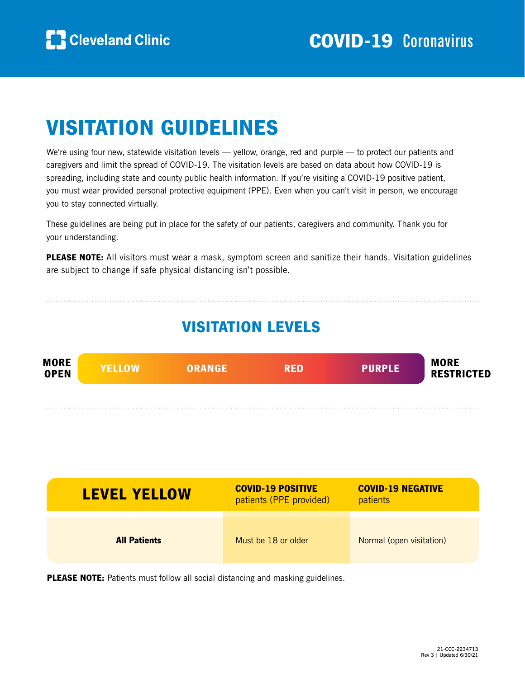We're using four new, statewide visitation levels — yellow, orange, red and purple — to protect our patients and caregivers and limit the spread of COVID-19. The visitation levels are based on data about how COVID-19 is spreading, including state and county public health information. If you're visiting a COVID-19 positive patient, you must wear provided personal protective equipment (PPE). Even when you can't visit in person, we encourage you to stay connected virtually.

These guidelines are being put in place for the safety of our patients, caregivers and community. Thank you for your understanding.

PLEASE NOTE: All visitors must wear a mask, symptom screen and sanitize their hands. Visitation guidelines are subject to change if safe physical distancing isn't possible.

#### VISITATION LEVELS





**PLEASE NOTE:** Patients must follow all social distancing and masking guidelines.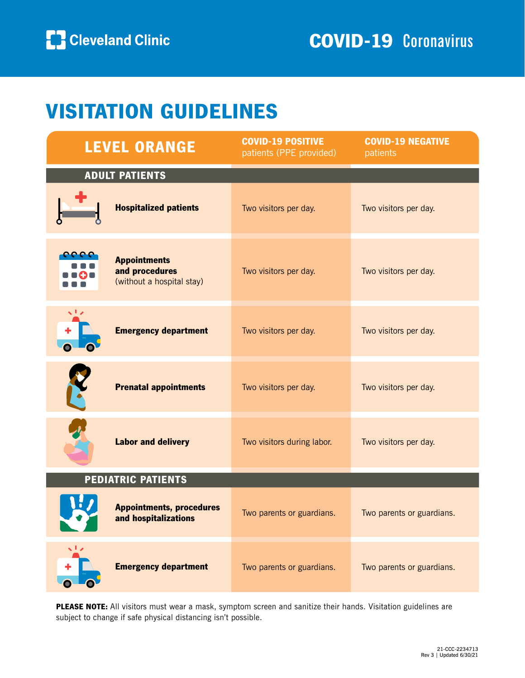

|                           | <b>LEVEL ORANGE</b>                                                | <b>COVID-19 POSITIVE</b><br>patients (PPE provided) | <b>COVID-19 NEGATIVE</b><br>patients |  |  |
|---------------------------|--------------------------------------------------------------------|-----------------------------------------------------|--------------------------------------|--|--|
|                           | <b>ADULT PATIENTS</b>                                              |                                                     |                                      |  |  |
|                           | <b>Hospitalized patients</b>                                       | Two visitors per day.                               | Two visitors per day.                |  |  |
| <u>ee e c</u><br>Θı       | <b>Appointments</b><br>and procedures<br>(without a hospital stay) | Two visitors per day.                               | Two visitors per day.                |  |  |
|                           | <b>Emergency department</b>                                        | Two visitors per day.                               | Two visitors per day.                |  |  |
|                           | <b>Prenatal appointments</b>                                       | Two visitors per day.                               | Two visitors per day.                |  |  |
|                           | <b>Labor and delivery</b>                                          | Two visitors during labor.                          | Two visitors per day.                |  |  |
| <b>PEDIATRIC PATIENTS</b> |                                                                    |                                                     |                                      |  |  |
|                           | <b>Appointments, procedures</b><br>and hospitalizations            | Two parents or guardians.                           | Two parents or guardians.            |  |  |
|                           | <b>Emergency department</b>                                        | Two parents or guardians.                           | Two parents or guardians.            |  |  |

PLEASE NOTE: All visitors must wear a mask, symptom screen and sanitize their hands. Visitation guidelines are subject to change if safe physical distancing isn't possible.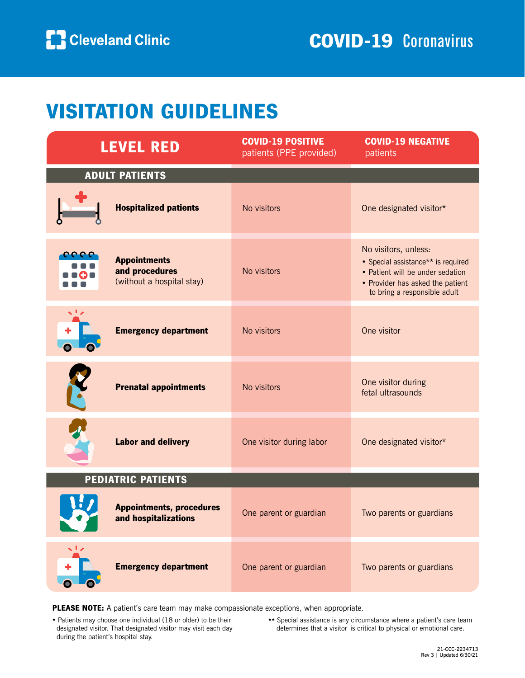

|                           | <b>LEVEL RED</b>                                                   | <b>COVID-19 POSITIVE</b><br>patients (PPE provided) | <b>COVID-19 NEGATIVE</b><br>patients                                                                                                                               |  |  |
|---------------------------|--------------------------------------------------------------------|-----------------------------------------------------|--------------------------------------------------------------------------------------------------------------------------------------------------------------------|--|--|
| <b>ADULT PATIENTS</b>     |                                                                    |                                                     |                                                                                                                                                                    |  |  |
|                           | <b>Hospitalized patients</b>                                       | No visitors                                         | One designated visitor*                                                                                                                                            |  |  |
| eee o                     | <b>Appointments</b><br>and procedures<br>(without a hospital stay) | No visitors                                         | No visitors, unless:<br>• Special assistance** is required<br>• Patient will be under sedation<br>• Provider has asked the patient<br>to bring a responsible adult |  |  |
|                           | <b>Emergency department</b>                                        | No visitors                                         | One visitor                                                                                                                                                        |  |  |
|                           | <b>Prenatal appointments</b>                                       | No visitors                                         | One visitor during<br>fetal ultrasounds                                                                                                                            |  |  |
|                           | <b>Labor and delivery</b>                                          | One visitor during labor                            | One designated visitor*                                                                                                                                            |  |  |
| <b>PEDIATRIC PATIENTS</b> |                                                                    |                                                     |                                                                                                                                                                    |  |  |
|                           | <b>Appointments, procedures</b><br>and hospitalizations            | One parent or guardian                              | Two parents or guardians                                                                                                                                           |  |  |
|                           | <b>Emergency department</b>                                        | One parent or guardian                              | Two parents or guardians                                                                                                                                           |  |  |

PLEASE NOTE: A patient's care team may make compassionate exceptions, when appropriate.

\* Patients may choose one individual (18 or older) to be their designated visitor. That designated visitor may visit each day during the patient's hospital stay.

\*\* Special assistance is any circumstance where a patient's care team determines that a visitor is critical to physical or emotional care.